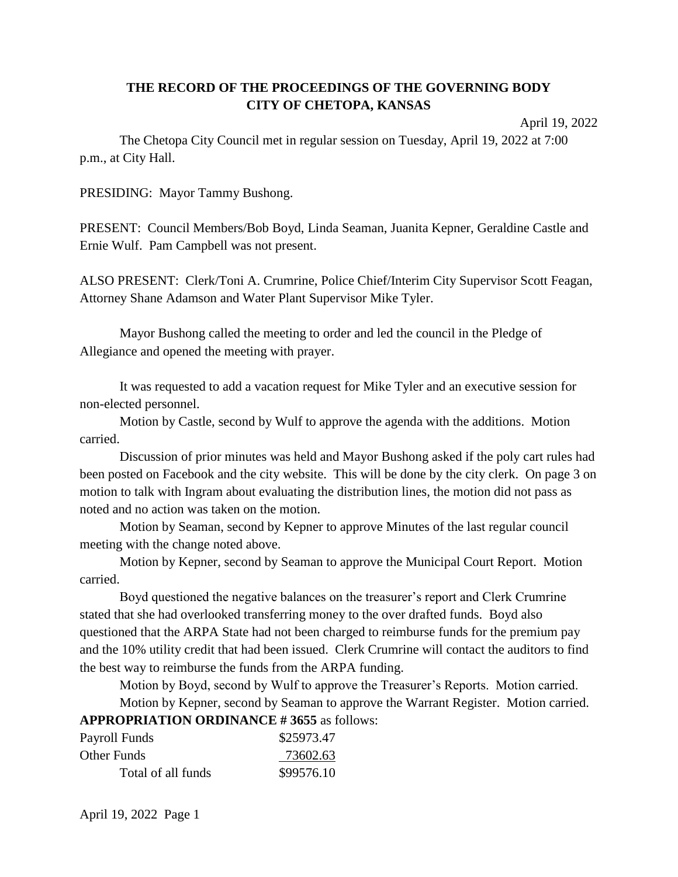# **THE RECORD OF THE PROCEEDINGS OF THE GOVERNING BODY CITY OF CHETOPA, KANSAS**

April 19, 2022

The Chetopa City Council met in regular session on Tuesday, April 19, 2022 at 7:00 p.m., at City Hall.

PRESIDING: Mayor Tammy Bushong.

PRESENT: Council Members/Bob Boyd, Linda Seaman, Juanita Kepner, Geraldine Castle and Ernie Wulf. Pam Campbell was not present.

ALSO PRESENT: Clerk/Toni A. Crumrine, Police Chief/Interim City Supervisor Scott Feagan, Attorney Shane Adamson and Water Plant Supervisor Mike Tyler.

Mayor Bushong called the meeting to order and led the council in the Pledge of Allegiance and opened the meeting with prayer.

It was requested to add a vacation request for Mike Tyler and an executive session for non-elected personnel.

Motion by Castle, second by Wulf to approve the agenda with the additions. Motion carried.

Discussion of prior minutes was held and Mayor Bushong asked if the poly cart rules had been posted on Facebook and the city website. This will be done by the city clerk. On page 3 on motion to talk with Ingram about evaluating the distribution lines, the motion did not pass as noted and no action was taken on the motion.

Motion by Seaman, second by Kepner to approve Minutes of the last regular council meeting with the change noted above.

Motion by Kepner, second by Seaman to approve the Municipal Court Report. Motion carried.

Boyd questioned the negative balances on the treasurer's report and Clerk Crumrine stated that she had overlooked transferring money to the over drafted funds. Boyd also questioned that the ARPA State had not been charged to reimburse funds for the premium pay and the 10% utility credit that had been issued. Clerk Crumrine will contact the auditors to find the best way to reimburse the funds from the ARPA funding.

Motion by Boyd, second by Wulf to approve the Treasurer's Reports. Motion carried.

Motion by Kepner, second by Seaman to approve the Warrant Register. Motion carried. **APPROPRIATION ORDINANCE # 3655** as follows:

| Payroll Funds      | \$25973.47 |
|--------------------|------------|
| Other Funds        | 73602.63   |
| Total of all funds | \$99576.10 |

April 19, 2022 Page 1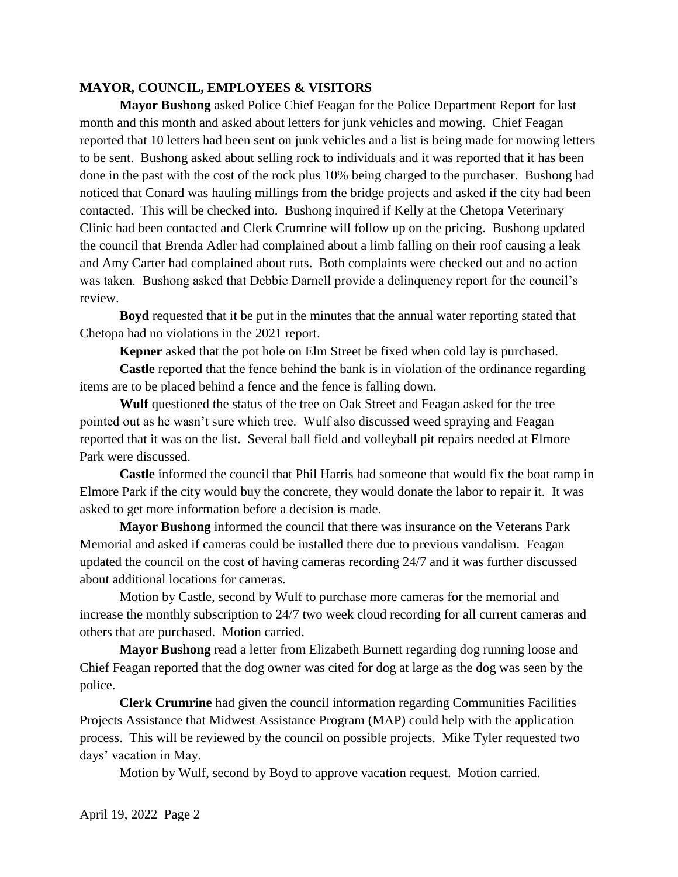#### **MAYOR, COUNCIL, EMPLOYEES & VISITORS**

**Mayor Bushong** asked Police Chief Feagan for the Police Department Report for last month and this month and asked about letters for junk vehicles and mowing. Chief Feagan reported that 10 letters had been sent on junk vehicles and a list is being made for mowing letters to be sent. Bushong asked about selling rock to individuals and it was reported that it has been done in the past with the cost of the rock plus 10% being charged to the purchaser. Bushong had noticed that Conard was hauling millings from the bridge projects and asked if the city had been contacted. This will be checked into. Bushong inquired if Kelly at the Chetopa Veterinary Clinic had been contacted and Clerk Crumrine will follow up on the pricing. Bushong updated the council that Brenda Adler had complained about a limb falling on their roof causing a leak and Amy Carter had complained about ruts. Both complaints were checked out and no action was taken. Bushong asked that Debbie Darnell provide a delinquency report for the council's review.

**Boyd** requested that it be put in the minutes that the annual water reporting stated that Chetopa had no violations in the 2021 report.

**Kepner** asked that the pot hole on Elm Street be fixed when cold lay is purchased.

**Castle** reported that the fence behind the bank is in violation of the ordinance regarding items are to be placed behind a fence and the fence is falling down.

**Wulf** questioned the status of the tree on Oak Street and Feagan asked for the tree pointed out as he wasn't sure which tree. Wulf also discussed weed spraying and Feagan reported that it was on the list. Several ball field and volleyball pit repairs needed at Elmore Park were discussed.

**Castle** informed the council that Phil Harris had someone that would fix the boat ramp in Elmore Park if the city would buy the concrete, they would donate the labor to repair it. It was asked to get more information before a decision is made.

**Mayor Bushong** informed the council that there was insurance on the Veterans Park Memorial and asked if cameras could be installed there due to previous vandalism. Feagan updated the council on the cost of having cameras recording 24/7 and it was further discussed about additional locations for cameras.

Motion by Castle, second by Wulf to purchase more cameras for the memorial and increase the monthly subscription to 24/7 two week cloud recording for all current cameras and others that are purchased. Motion carried.

**Mayor Bushong** read a letter from Elizabeth Burnett regarding dog running loose and Chief Feagan reported that the dog owner was cited for dog at large as the dog was seen by the police.

**Clerk Crumrine** had given the council information regarding Communities Facilities Projects Assistance that Midwest Assistance Program (MAP) could help with the application process. This will be reviewed by the council on possible projects. Mike Tyler requested two days' vacation in May.

Motion by Wulf, second by Boyd to approve vacation request. Motion carried.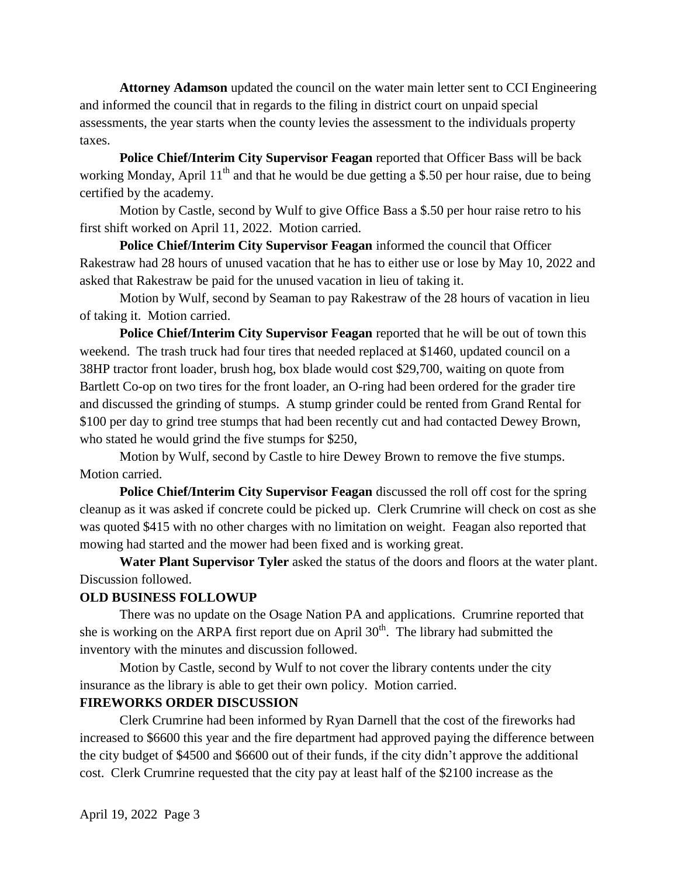**Attorney Adamson** updated the council on the water main letter sent to CCI Engineering and informed the council that in regards to the filing in district court on unpaid special assessments, the year starts when the county levies the assessment to the individuals property taxes.

**Police Chief/Interim City Supervisor Feagan** reported that Officer Bass will be back working Monday, April  $11<sup>th</sup>$  and that he would be due getting a \$.50 per hour raise, due to being certified by the academy.

Motion by Castle, second by Wulf to give Office Bass a \$.50 per hour raise retro to his first shift worked on April 11, 2022. Motion carried.

**Police Chief/Interim City Supervisor Feagan** informed the council that Officer Rakestraw had 28 hours of unused vacation that he has to either use or lose by May 10, 2022 and asked that Rakestraw be paid for the unused vacation in lieu of taking it.

Motion by Wulf, second by Seaman to pay Rakestraw of the 28 hours of vacation in lieu of taking it. Motion carried.

**Police Chief/Interim City Supervisor Feagan** reported that he will be out of town this weekend. The trash truck had four tires that needed replaced at \$1460, updated council on a 38HP tractor front loader, brush hog, box blade would cost \$29,700, waiting on quote from Bartlett Co-op on two tires for the front loader, an O-ring had been ordered for the grader tire and discussed the grinding of stumps. A stump grinder could be rented from Grand Rental for \$100 per day to grind tree stumps that had been recently cut and had contacted Dewey Brown, who stated he would grind the five stumps for \$250,

Motion by Wulf, second by Castle to hire Dewey Brown to remove the five stumps. Motion carried.

**Police Chief/Interim City Supervisor Feagan** discussed the roll off cost for the spring cleanup as it was asked if concrete could be picked up. Clerk Crumrine will check on cost as she was quoted \$415 with no other charges with no limitation on weight. Feagan also reported that mowing had started and the mower had been fixed and is working great.

**Water Plant Supervisor Tyler** asked the status of the doors and floors at the water plant. Discussion followed.

# **OLD BUSINESS FOLLOWUP**

There was no update on the Osage Nation PA and applications. Crumrine reported that she is working on the ARPA first report due on April  $30<sup>th</sup>$ . The library had submitted the inventory with the minutes and discussion followed.

Motion by Castle, second by Wulf to not cover the library contents under the city insurance as the library is able to get their own policy. Motion carried.

# **FIREWORKS ORDER DISCUSSION**

Clerk Crumrine had been informed by Ryan Darnell that the cost of the fireworks had increased to \$6600 this year and the fire department had approved paying the difference between the city budget of \$4500 and \$6600 out of their funds, if the city didn't approve the additional cost. Clerk Crumrine requested that the city pay at least half of the \$2100 increase as the